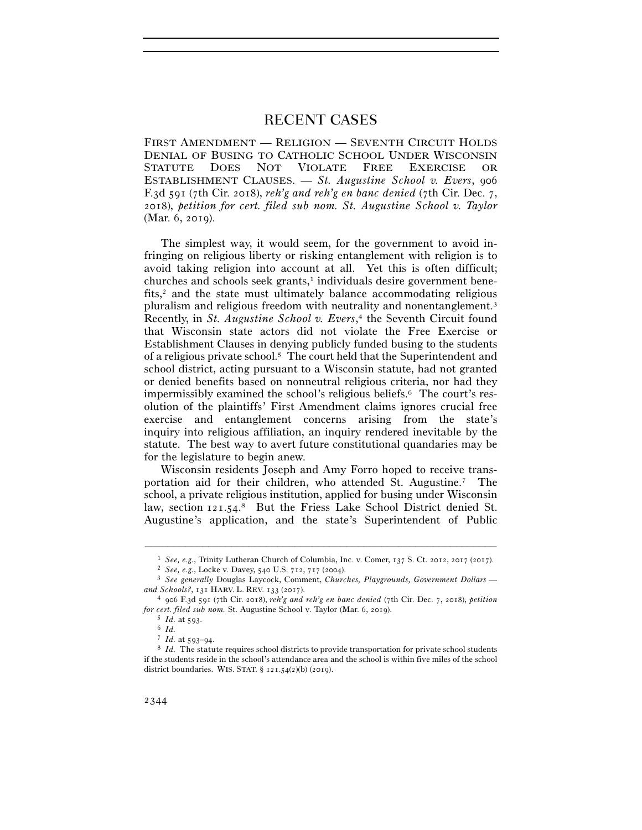## RECENT CASES

FIRST AMENDMENT — RELIGION — SEVENTH CIRCUIT HOLDS DENIAL OF BUSING TO CATHOLIC SCHOOL UNDER WISCONSIN STATUTE DOES NOT VIOLATE FREE EXERCISE OR ESTABLISHMENT CLAUSES. — *St. Augustine School v. Evers*, 906 F.3d 591 (7th Cir. 2018), *reh'g and reh'g en banc denied* (7th Cir. Dec. 7, 2018), *petition for cert. filed sub nom. St. Augustine School v. Taylor* (Mar. 6, 2019).

The simplest way, it would seem, for the government to avoid infringing on religious liberty or risking entanglement with religion is to avoid taking religion into account at all. Yet this is often difficult; churches and schools seek grants,<sup>1</sup> individuals desire government benefits, $2$  and the state must ultimately balance accommodating religious pluralism and religious freedom with neutrality and nonentanglement.<sup>3</sup> Recently, in *St. Augustine School v. Evers*, 4 the Seventh Circuit found that Wisconsin state actors did not violate the Free Exercise or Establishment Clauses in denying publicly funded busing to the students of a religious private school.5 The court held that the Superintendent and school district, acting pursuant to a Wisconsin statute, had not granted or denied benefits based on nonneutral religious criteria, nor had they impermissibly examined the school's religious beliefs.6 The court's resolution of the plaintiffs' First Amendment claims ignores crucial free exercise and entanglement concerns arising from the state's inquiry into religious affiliation, an inquiry rendered inevitable by the statute. The best way to avert future constitutional quandaries may be for the legislature to begin anew.

Wisconsin residents Joseph and Amy Forro hoped to receive transportation aid for their children, who attended St. Augustine.7 The school, a private religious institution, applied for busing under Wisconsin law, section  $121.54$ .<sup>8</sup> But the Friess Lake School District denied St. Augustine's application, and the state's Superintendent of Public

<sup>–––––––––––––––––––––––––––––––––––––––––––––––––––––––––––––</sup>

<sup>&</sup>lt;sup>1</sup> *See, e.g.*, Trinity Lutheran Church of Columbia, Inc. v. Comer, 137 S. Ct. 2012, 2017 (2017).<br><sup>2</sup> *See, e.g.*, Locke v. Davey, 540 U.S. 712, 717 (2004).<br><sup>3</sup> *See generally Douglas Laycock, Comment, Churches, Playgrou* 

*and Schools?*, 131 HARV. L. REV. 133 (<sup>2017</sup>). 4 <sup>906</sup> F.3d 591 (7th Cir. 2018), *reh'g and reh'g en banc denied* (7th Cir. Dec. 7, 2018), *petition for cert. filed sub nom.* St. Augustine School v. Taylor (Mar. 6, <sup>2019</sup>). 5 *Id.* at <sup>593</sup>. 6 *Id.*

 $8$  *Id.* The statute requires school districts to provide transportation for private school students if the students reside in the school's attendance area and the school is within five miles of the school district boundaries. WIS. STAT. § 121.54(2)(b) (2019).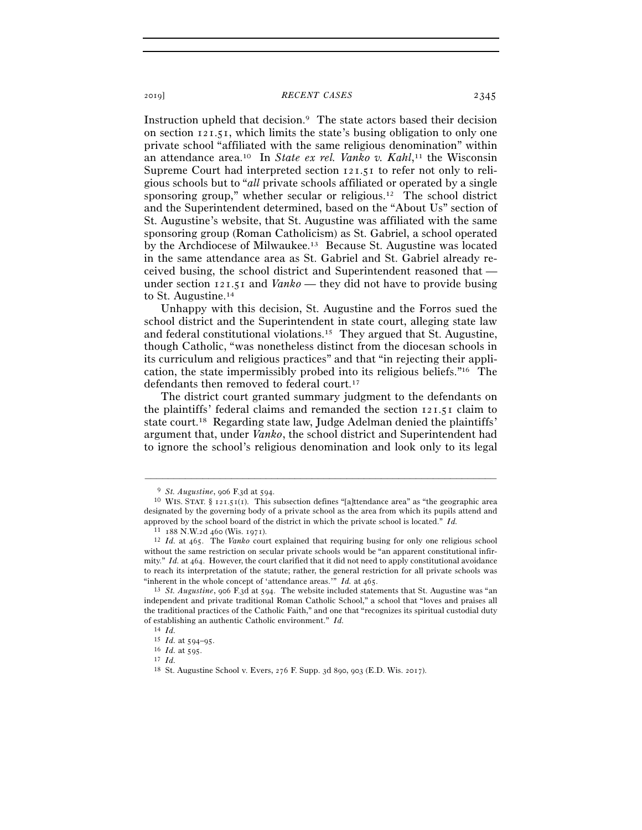## <sup>2019</sup>] *RECENT CASES* 2345

Instruction upheld that decision.9 The state actors based their decision on section 121.51, which limits the state's busing obligation to only one private school "affiliated with the same religious denomination" within an attendance area.<sup>10</sup> In *State ex rel. Vanko v. Kahl*,<sup>11</sup> the Wisconsin Supreme Court had interpreted section 121.51 to refer not only to religious schools but to "*all* private schools affiliated or operated by a single sponsoring group," whether secular or religious.12 The school district and the Superintendent determined, based on the "About Us" section of St. Augustine's website, that St. Augustine was affiliated with the same sponsoring group (Roman Catholicism) as St. Gabriel, a school operated by the Archdiocese of Milwaukee.13 Because St. Augustine was located in the same attendance area as St. Gabriel and St. Gabriel already received busing, the school district and Superintendent reasoned that under section 121.51 and *Vanko* — they did not have to provide busing to St. Augustine.14

Unhappy with this decision, St. Augustine and the Forros sued the school district and the Superintendent in state court, alleging state law and federal constitutional violations.15 They argued that St. Augustine, though Catholic, "was nonetheless distinct from the diocesan schools in its curriculum and religious practices" and that "in rejecting their application, the state impermissibly probed into its religious beliefs."16 The defendants then removed to federal court.17

The district court granted summary judgment to the defendants on the plaintiffs' federal claims and remanded the section 121.51 claim to state court.18 Regarding state law, Judge Adelman denied the plaintiffs' argument that, under *Vanko*, the school district and Superintendent had to ignore the school's religious denomination and look only to its legal

<sup>&</sup>lt;sup>9</sup> *St. Augustine*, 906 F.3d at 594.<br><sup>10</sup> WIS. STAT. § 121.51(1). This subsection defines "[a]ttendance area" as "the geographic area designated by the governing body of a private school as the area from which its pupils attend and approved by the school board of the district in which the private school is located." *Id.*

<sup>11</sup> <sup>188</sup> N.W.2d 460 (Wis. <sup>1971</sup>). 12 *Id.* at 465. The *Vanko* court explained that requiring busing for only one religious school without the same restriction on secular private schools would be "an apparent constitutional infirmity." *Id.* at 464. However, the court clarified that it did not need to apply constitutional avoidance to reach its interpretation of the statute; rather, the general restriction for all private schools was "inherent in the whole concept of 'attendance areas.'"  $Id$ . at  $465$ .

<sup>&</sup>lt;sup>13</sup> *St. Augustine*, 906 F.3d at 594. The website included statements that St. Augustine was "an independent and private traditional Roman Catholic School," a school that "loves and praises all the traditional practices of the Catholic Faith," and one that "recognizes its spiritual custodial duty of establishing an authentic Catholic environment." *Id.*

<sup>14</sup> *Id.*

<sup>15</sup> *Id.* at 594–<sup>95</sup>. 16 *Id.* at <sup>595</sup>. 17 *Id.*

<sup>18</sup> St. Augustine School v. Evers, 276 F. Supp. 3d 890, 903 (E.D. Wis. 2017).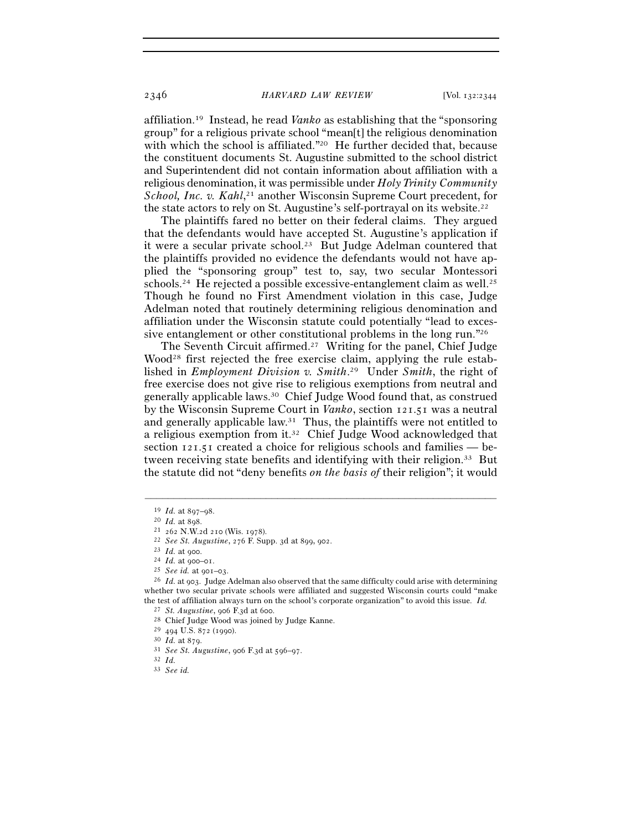affiliation.19 Instead, he read *Vanko* as establishing that the "sponsoring group" for a religious private school "mean[t] the religious denomination with which the school is affiliated."<sup>20</sup> He further decided that, because the constituent documents St. Augustine submitted to the school district and Superintendent did not contain information about affiliation with a religious denomination, it was permissible under *Holy Trinity Community*  School, Inc. v. Kahl,<sup>21</sup> another Wisconsin Supreme Court precedent, for the state actors to rely on St. Augustine's self-portrayal on its website.<sup>22</sup>

The plaintiffs fared no better on their federal claims. They argued that the defendants would have accepted St. Augustine's application if it were a secular private school.<sup>23</sup> But Judge Adelman countered that the plaintiffs provided no evidence the defendants would not have applied the "sponsoring group" test to, say, two secular Montessori schools.<sup>24</sup> He rejected a possible excessive-entanglement claim as well.<sup>25</sup> Though he found no First Amendment violation in this case, Judge Adelman noted that routinely determining religious denomination and affiliation under the Wisconsin statute could potentially "lead to excessive entanglement or other constitutional problems in the long run."26

The Seventh Circuit affirmed.27 Writing for the panel, Chief Judge Wood<sup>28</sup> first rejected the free exercise claim, applying the rule established in *Employment Division v. Smith*. 29 Under *Smith*, the right of free exercise does not give rise to religious exemptions from neutral and generally applicable laws.30 Chief Judge Wood found that, as construed by the Wisconsin Supreme Court in *Vanko*, section 121.51 was a neutral and generally applicable law.31 Thus, the plaintiffs were not entitled to a religious exemption from it.32 Chief Judge Wood acknowledged that section 121.51 created a choice for religious schools and families — between receiving state benefits and identifying with their religion.33 But the statute did not "deny benefits *on the basis of* their religion"; it would

<sup>&</sup>lt;sup>19</sup> *Id.* at 897–98.<br>
<sup>20</sup> *Id.* at 898.<br>
<sup>21</sup> 262 N.W.2d 210 (Wis. 1978).<br>
<sup>22</sup> *See St. Augustine*, 276 F. Supp. 3d at 899, 902.<br>
<sup>23</sup> *Id.* at 900–01.<br>
<sup>25</sup> *See id.* at 901–03.<br>
<sup>25</sup> *Id.* at 903. Judge Adelman also whether two secular private schools were affiliated and suggested Wisconsin courts could "make the test of affiliation always turn on the school's corporate organization" to avoid this issue. *Id.* <sup>27</sup> *St. Augustine*, 906 F.3d at 600.<br><sup>28</sup> Chief Judge Wood was joined by Judge Kanne.<br><sup>29</sup> 494 U.S. 872 (1990).<br><sup>30</sup>

<sup>33</sup> *See id.*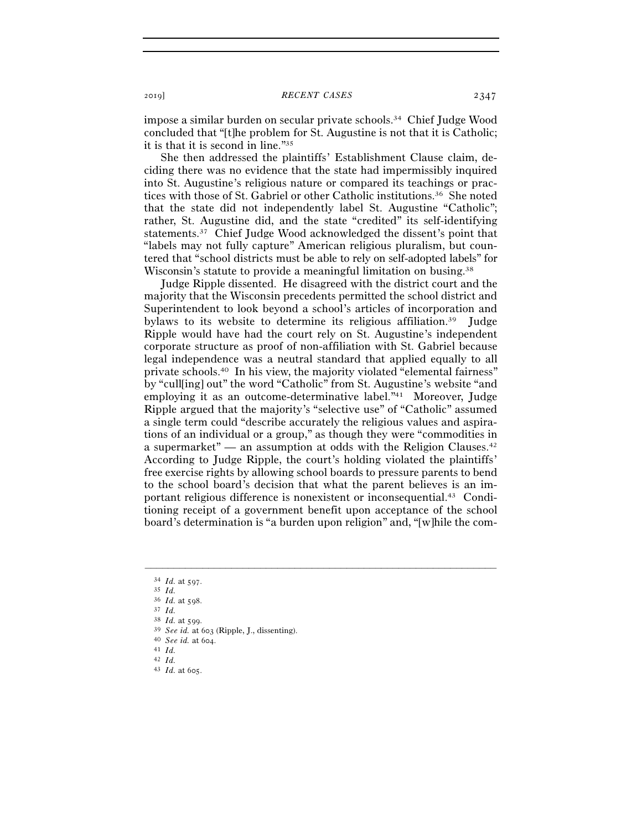impose a similar burden on secular private schools.34 Chief Judge Wood concluded that "[t]he problem for St. Augustine is not that it is Catholic; it is that it is second in line."35

She then addressed the plaintiffs' Establishment Clause claim, deciding there was no evidence that the state had impermissibly inquired into St. Augustine's religious nature or compared its teachings or practices with those of St. Gabriel or other Catholic institutions.36 She noted that the state did not independently label St. Augustine "Catholic"; rather, St. Augustine did, and the state "credited" its self-identifying statements.37 Chief Judge Wood acknowledged the dissent's point that "labels may not fully capture" American religious pluralism, but countered that "school districts must be able to rely on self-adopted labels" for Wisconsin's statute to provide a meaningful limitation on busing.<sup>38</sup>

Judge Ripple dissented. He disagreed with the district court and the majority that the Wisconsin precedents permitted the school district and Superintendent to look beyond a school's articles of incorporation and bylaws to its website to determine its religious affiliation.39 Judge Ripple would have had the court rely on St. Augustine's independent corporate structure as proof of non-affiliation with St. Gabriel because legal independence was a neutral standard that applied equally to all private schools.40 In his view, the majority violated "elemental fairness" by "cull[ing] out" the word "Catholic" from St. Augustine's website "and employing it as an outcome-determinative label."41 Moreover, Judge Ripple argued that the majority's "selective use" of "Catholic" assumed a single term could "describe accurately the religious values and aspirations of an individual or a group," as though they were "commodities in a supermarket" — an assumption at odds with the Religion Clauses.<sup>42</sup> According to Judge Ripple, the court's holding violated the plaintiffs' free exercise rights by allowing school boards to pressure parents to bend to the school board's decision that what the parent believes is an important religious difference is nonexistent or inconsequential.43 Conditioning receipt of a government benefit upon acceptance of the school board's determination is "a burden upon religion" and, "[w]hile the com-

- <sup>38</sup> *Id.* at <sup>599</sup>. 39 *See id.* at <sup>603</sup> (Ripple, J., dissenting). 40 *See id.* at 604.
- 

<sup>34</sup> *Id.* at <sup>597</sup>. 35 *Id.*<sup>36</sup> *Id.* at <sup>598</sup>. 37 *Id.*

<sup>41</sup> *Id.* 42 *Id.*

<sup>43</sup> *Id.* at 605.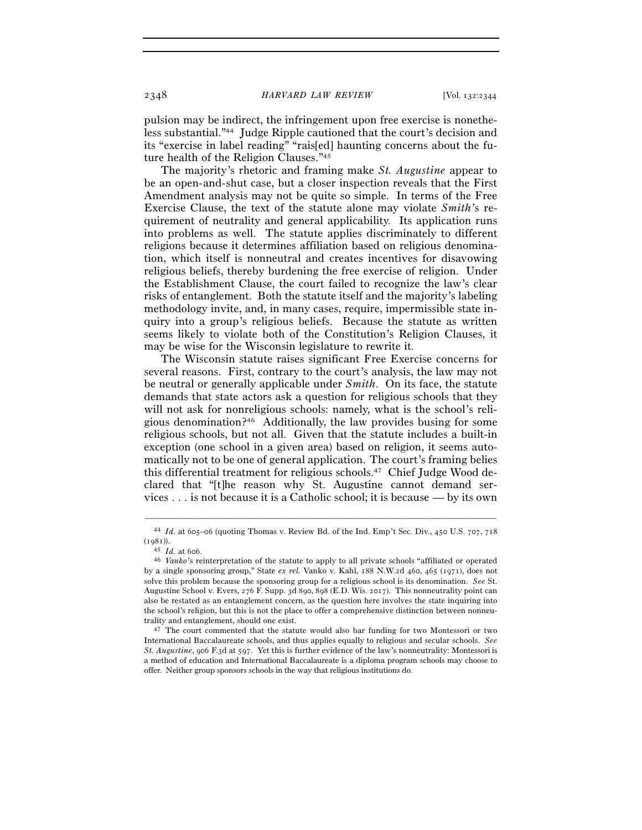2348 *HARVARD LAW REVIEW* [Vol. 132:<sup>2344</sup>

pulsion may be indirect, the infringement upon free exercise is nonetheless substantial."44 Judge Ripple cautioned that the court's decision and its "exercise in label reading" "rais[ed] haunting concerns about the future health of the Religion Clauses."45

The majority's rhetoric and framing make *St. Augustine* appear to be an open-and-shut case, but a closer inspection reveals that the First Amendment analysis may not be quite so simple. In terms of the Free Exercise Clause, the text of the statute alone may violate *Smith*'s requirement of neutrality and general applicability. Its application runs into problems as well. The statute applies discriminately to different religions because it determines affiliation based on religious denomination, which itself is nonneutral and creates incentives for disavowing religious beliefs, thereby burdening the free exercise of religion. Under the Establishment Clause, the court failed to recognize the law's clear risks of entanglement. Both the statute itself and the majority's labeling methodology invite, and, in many cases, require, impermissible state inquiry into a group's religious beliefs. Because the statute as written seems likely to violate both of the Constitution's Religion Clauses, it may be wise for the Wisconsin legislature to rewrite it.

The Wisconsin statute raises significant Free Exercise concerns for several reasons. First, contrary to the court's analysis, the law may not be neutral or generally applicable under *Smith*. On its face, the statute demands that state actors ask a question for religious schools that they will not ask for nonreligious schools: namely, what is the school's religious denomination?46 Additionally, the law provides busing for some religious schools, but not all. Given that the statute includes a built-in exception (one school in a given area) based on religion, it seems automatically not to be one of general application. The court's framing belies this differential treatment for religious schools.47 Chief Judge Wood declared that "[t]he reason why St. Augustine cannot demand services . . . is not because it is a Catholic school; it is because — by its own

<sup>–––––––––––––––––––––––––––––––––––––––––––––––––––––––––––––</sup> <sup>44</sup> *Id.* at 605–06 (quoting Thomas v. Review Bd. of the Ind. Emp't Sec. Div., 450 U.S. 707, 718 (<sup>1981</sup>)). 45 *Id.* at <sup>606</sup>. 46 *Vanko*'s reinterpretation of the statute to apply to all private schools "affiliated or operated

by a single sponsoring group," State *ex rel.* Vanko v. Kahl, 188 N.W.2d 460, 465 (1971), does not solve this problem because the sponsoring group for a religious school is its denomination. *See* St. Augustine School v. Evers, 276 F. Supp. 3d 890, 898 (E.D. Wis. 2017). This nonneutrality point can also be restated as an entanglement concern, as the question here involves the state inquiring into the school's religion, but this is not the place to offer a comprehensive distinction between nonneutrality and entanglement, should one exist. 47 The court commented that the statute would also bar funding for two Montessori or two

International Baccalaureate schools, and thus applies equally to religious and secular schools. *See St. Augustine*, 906 F.3d at 597. Yet this is further evidence of the law's nonneutrality: Montessori is a method of education and International Baccalaureate is a diploma program schools may choose to offer. Neither group sponsors schools in the way that religious institutions do.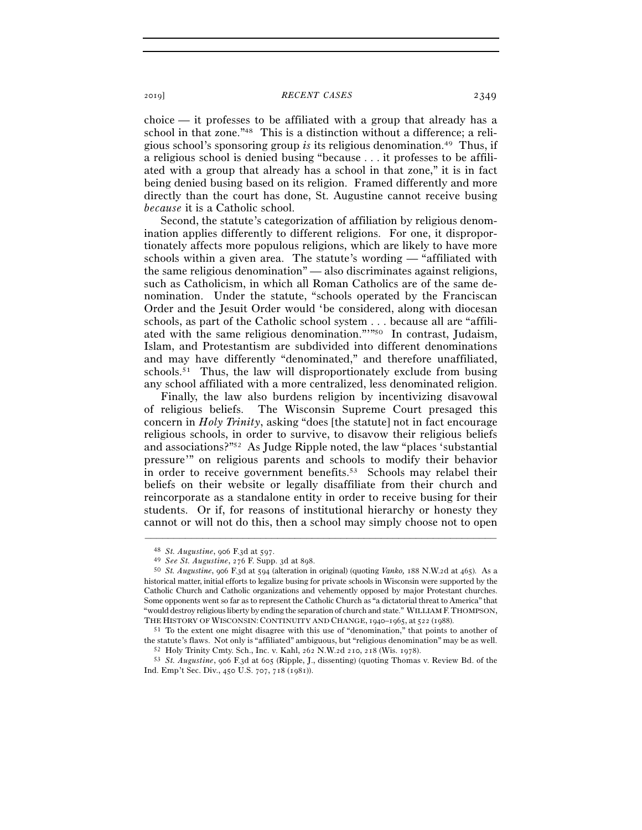## <sup>2019</sup>] *RECENT CASES* 2349

choice — it professes to be affiliated with a group that already has a school in that zone."48 This is a distinction without a difference; a religious school's sponsoring group *is* its religious denomination.49 Thus, if a religious school is denied busing "because . . . it professes to be affiliated with a group that already has a school in that zone," it is in fact being denied busing based on its religion. Framed differently and more directly than the court has done, St. Augustine cannot receive busing *because* it is a Catholic school.

Second, the statute's categorization of affiliation by religious denomination applies differently to different religions. For one, it disproportionately affects more populous religions, which are likely to have more schools within a given area. The statute's wording — "affiliated with the same religious denomination" — also discriminates against religions, such as Catholicism, in which all Roman Catholics are of the same denomination. Under the statute, "schools operated by the Franciscan Order and the Jesuit Order would 'be considered, along with diocesan schools, as part of the Catholic school system . . . because all are "affiliated with the same religious denomination."'"50 In contrast, Judaism, Islam, and Protestantism are subdivided into different denominations and may have differently "denominated," and therefore unaffiliated, schools.<sup>51</sup> Thus, the law will disproportionately exclude from busing any school affiliated with a more centralized, less denominated religion.

Finally, the law also burdens religion by incentivizing disavowal of religious beliefs. The Wisconsin Supreme Court presaged this concern in *Holy Trinity*, asking "does [the statute] not in fact encourage religious schools, in order to survive, to disavow their religious beliefs and associations?"52 As Judge Ripple noted, the law "places 'substantial pressure'" on religious parents and schools to modify their behavior in order to receive government benefits.<sup>53</sup> Schools may relabel their beliefs on their website or legally disaffiliate from their church and reincorporate as a standalone entity in order to receive busing for their students. Or if, for reasons of institutional hierarchy or honesty they cannot or will not do this, then a school may simply choose not to open

<sup>48</sup> *St. Augustine*, 906 F.3d at 597.

<sup>49</sup> *See St. Augustine*, 276 F. Supp. 3d at <sup>898</sup>. 50 *St. Augustine*, 906 F.3d at 594 (alteration in original) (quoting *Vanko,* <sup>188</sup> N.W.2d at 465). As a historical matter, initial efforts to legalize busing for private schools in Wisconsin were supported by the Catholic Church and Catholic organizations and vehemently opposed by major Protestant churches. Some opponents went so far as to represent the Catholic Church as "a dictatorial threat to America" that "would destroy religious liberty by ending the separation of church and state." WILLIAMF.THOMPSON, THE HISTORY OF WISCONSIN: CONTINUITY AND CHANGE, 1940–1965, at  $522$  (1988).<br><sup>51</sup> To the extent one might disagree with this use of "denomination," that points to another of

the statute's flaws. Not only is "affiliated" ambiguous, but "religious denomination" may be as well.<br><sup>52</sup> Holy Trinity Cmty. Sch., Inc. v. Kahl, 262 N.W.2d 210, 218 (Wis. 1978).<br><sup>53</sup> St. Augustine, 906 F.3d at 605 (Rippl

Ind. Emp't Sec. Div., 450 U.S. 707, 718 (1981)).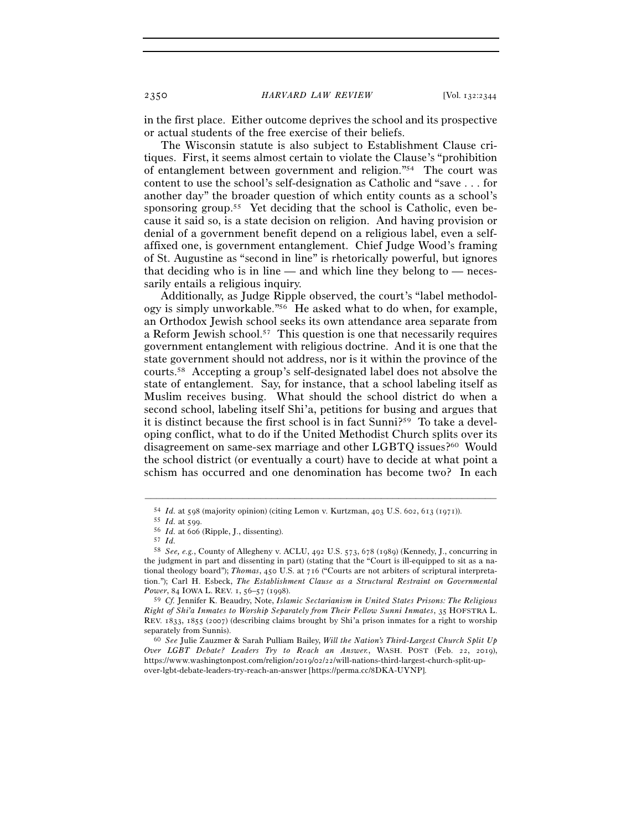in the first place. Either outcome deprives the school and its prospective or actual students of the free exercise of their beliefs.

The Wisconsin statute is also subject to Establishment Clause critiques. First, it seems almost certain to violate the Clause's "prohibition of entanglement between government and religion."54 The court was content to use the school's self-designation as Catholic and "save . . . for another day" the broader question of which entity counts as a school's sponsoring group.<sup>55</sup> Yet deciding that the school is Catholic, even because it said so, is a state decision on religion. And having provision or denial of a government benefit depend on a religious label, even a selfaffixed one, is government entanglement. Chief Judge Wood's framing of St. Augustine as "second in line" is rhetorically powerful, but ignores that deciding who is in line — and which line they belong to — necessarily entails a religious inquiry.

Additionally, as Judge Ripple observed, the court's "label methodology is simply unworkable."56 He asked what to do when, for example, an Orthodox Jewish school seeks its own attendance area separate from a Reform Jewish school.57 This question is one that necessarily requires government entanglement with religious doctrine. And it is one that the state government should not address, nor is it within the province of the courts.58 Accepting a group's self-designated label does not absolve the state of entanglement. Say, for instance, that a school labeling itself as Muslim receives busing. What should the school district do when a second school, labeling itself Shi'a, petitions for busing and argues that it is distinct because the first school is in fact Sunni?59 To take a developing conflict, what to do if the United Methodist Church splits over its disagreement on same-sex marriage and other LGBTQ issues?60 Would the school district (or eventually a court) have to decide at what point a schism has occurred and one denomination has become two? In each

<sup>54</sup> *Id.* at 598 (majority opinion) (citing Lemon v. Kurtzman, 403 U.S. 602, 613 (<sup>1971</sup>)). 55 *Id.* at <sup>599</sup>. 56 *Id.* at <sup>606</sup> (Ripple, J., dissenting). 57 *Id.*

<sup>58</sup> *See, e.g.*, County of Allegheny v. ACLU, 492 U.S. 573, 678 (1989) (Kennedy, J., concurring in the judgment in part and dissenting in part) (stating that the "Court is ill-equipped to sit as a national theology board"); *Thomas*, 450 U.S. at 716 ("Courts are not arbiters of scriptural interpretation."); Carl H. Esbeck, *The Establishment Clause as a Structural Restraint on Governmental Power*, 84 IOWA L. REV. 1, 56-57 (1998).

<sup>59</sup> *Cf.* Jennifer K. Beaudry, Note, *Islamic Sectarianism in United States Prisons: The Religious Right of Shi'a Inmates to Worship Separately from Their Fellow Sunni Inmates*, 35 HOFSTRA L. REV. 1833, 1855 (2007) (describing claims brought by Shi'a prison inmates for a right to worship separately from Sunnis). 60 *See* Julie Zauzmer & Sarah Pulliam Bailey, *Will the Nation's Third-Largest Church Split Up* 

*Over LGBT Debate? Leaders Try to Reach an Answer.*, WASH. POST (Feb. 22, 2019), https://www.washingtonpost.com/religion/2019/02/22/will-nations-third-largest-church-split-upover-lgbt-debate-leaders-try-reach-an-answer [https://perma.cc/8DKA-UYNP].